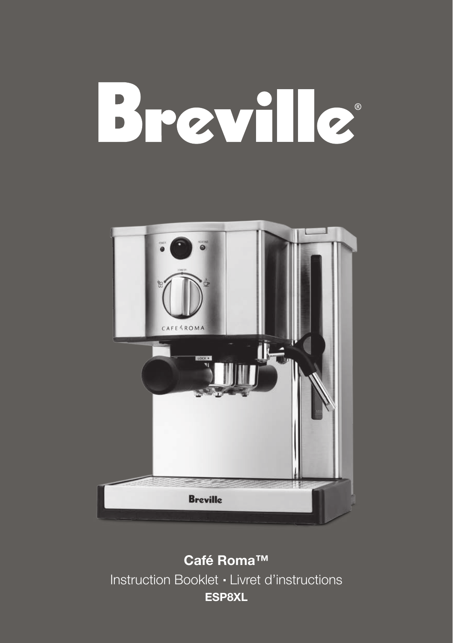# Breville



**Café Roma™** Instruction Booklet - Livret d'instructions **ESP8XL**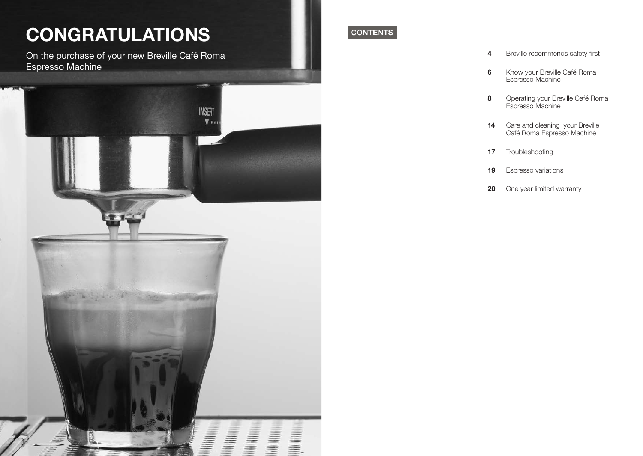## **CONGRATULATIONS**

On the purchase of your new Breville Café Roma Espresso Machine



### **CONTENTS**

- **4** Breville recommends safety first
- **6** Know your Breville Café Roma Espresso Machine
- **8** Operating your Breville Café Roma Espresso Machine
- **14** Care and cleaning your Breville Café Roma Espresso Machine
- **17** Troubleshooting
- **19** Espresso variations
- **20** One year limited warranty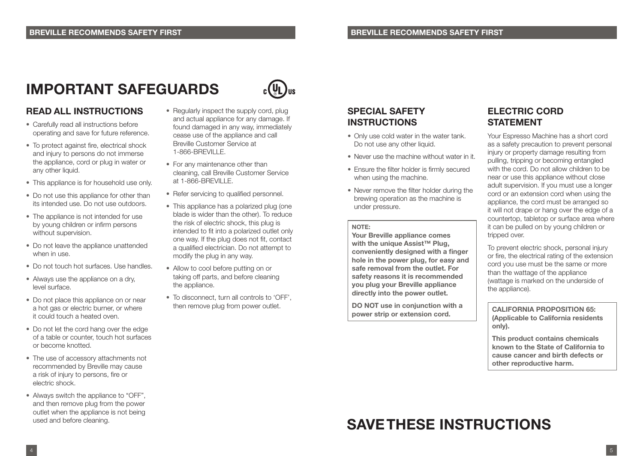### **IMPORTANT SAFEGUARDS**

#### **READ ALL INSTRUCTIONS**

- Carefully read all instructions before operating and save for future reference.
- To protect against fire, electrical shock and injury to persons do not immerse the appliance, cord or plug in water or any other liquid.
- This appliance is for household use only.
- Do not use this appliance for other than its intended use. Do not use outdoors.
- The appliance is not intended for use by young children or infirm persons without supervision.
- Do not leave the appliance unattended when in use.
- Do not touch hot surfaces. Use handles.
- Always use the appliance on a dry. level surface.
- Do not place this appliance on or near a hot gas or electric burner, or where it could touch a heated oven.
- Do not let the cord hang over the edge of a table or counter, touch hot surfaces or become knotted.
- The use of accessory attachments not recommended by Breville may cause a risk of injury to persons, fire or electric shock.
- Always switch the appliance to "OFF", and then remove plug from the power outlet when the appliance is not being used and before cleaning.



- Regularly inspect the supply cord, plug and actual appliance for any damage. If found damaged in any way, immediately cease use of the appliance and call Breville Customer Service at 1-866-BREVILLE.
- For any maintenance other than cleaning, call Breville Customer Service at 1-866-BREVILLE.
- Refer servicing to qualified personnel.
- This appliance has a polarized plug (one blade is wider than the other). To reduce the risk of electric shock, this plug is intended to fit into a polarized outlet only one way. If the plug does not fit, contact a qualified electrician. Do not attempt to modify the plug in any way.
- Allow to cool before putting on or taking off parts, and before cleaning the appliance.
- To disconnect, turn all controls to 'OFF', then remove plug from power outlet.

#### **SPECIAL SAFETY INSTRUCTIONS**

- Only use cold water in the water tank. Do not use any other liquid.
- Never use the machine without water in it.
- Ensure the filter holder is firmly secured when using the machine.
- Never remove the filter holder during the brewing operation as the machine is under pressure.

#### **NOTE:**

**Your Breville appliance comes with the unique Assist™ Plug, conveniently designed with a finger hole in the power plug, for easy and safe removal from the outlet. For safety reasons it is recommended you plug your Breville appliance directly into the power outlet.** 

**DO NOT use in conjunction with a power strip or extension cord.**

### **ELECTRIC CORD STATEMENT**

Your Espresso Machine has a short cord as a safety precaution to prevent personal injury or property damage resulting from pulling, tripping or becoming entangled with the cord. Do not allow children to be near or use this appliance without close adult supervision. If you must use a longer cord or an extension cord when using the appliance, the cord must be arranged so it will not drape or hang over the edge of a countertop, tabletop or surface area where it can be pulled on by young children or tripped over.

To prevent electric shock, personal injury or fire, the electrical rating of the extension cord you use must be the same or more than the wattage of the appliance (wattage is marked on the underside of the appliance).

**CALIFORNIA PROPOSITION 65: (Applicable to California residents only).**

**This product contains chemicals known to the State of California to cause cancer and birth defects or other reproductive harm.**

### **SAVE THESE INSTRUCTIONS**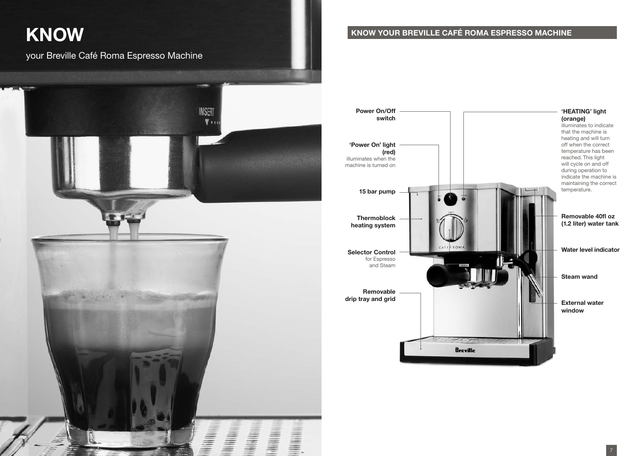## **KNOW**

your Breville Café Roma Espresso Machine



### **KNOW YOUR BREVILLE CAFÉ ROMA ESPRESSO MACHINE**

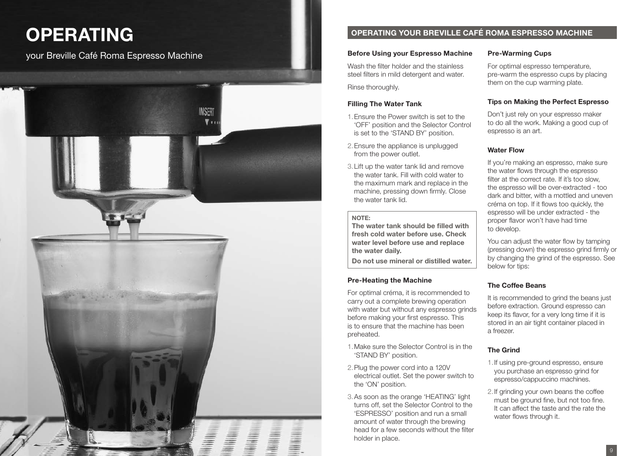## **OPERATING**

your Breville Café Roma Espresso Machine



#### **OPERATING YOUR BREVILLE CAFÉ ROMA ESPRESSO MACHINE**

#### **Before Using your Espresso Machine**

Wash the filter holder and the stainless steel filters in mild detergent and water. Rinse thoroughly.

#### **Filling The Water Tank**

- 1.Ensure the Power switch is set to the 'OFF' position and the Selector Control is set to the 'STAND BY' position.
- 2.Ensure the appliance is unplugged from the power outlet.
- 3.Lift up the water tank lid and remove the water tank. Fill with cold water to the maximum mark and replace in the machine, pressing down firmly. Close the water tank lid.

#### **NOTE:**

**The water tank should be filled with fresh cold water before use. Check water level before use and replace the water daily.** 

**Do not use mineral or distilled water.**

#### **Pre-Heating the Machine**

For optimal créma, it is recommended to carry out a complete brewing operation with water but without any espresso grinds before making your first espresso. This is to ensure that the machine has been preheated.

- 1.Make sure the Selector Control is in the 'STAND BY' position.
- 2.Plug the power cord into a 120V electrical outlet. Set the power switch to the 'ON' position.
- 3.As soon as the orange 'HEATING' light turns off, set the Selector Control to the 'ESPRESSO' position and run a small amount of water through the brewing head for a few seconds without the filter holder in place.

#### **Pre-Warming Cups**

For optimal espresso temperature, pre-warm the espresso cups by placing them on the cup warming plate.

#### **Tips on Making the Perfect Espresso**

Don't just rely on your espresso maker to do all the work. Making a good cup of espresso is an art.

#### **Water Flow**

If you're making an espresso, make sure the water flows through the espresso filter at the correct rate. If it's too slow, the espresso will be over-extracted - too dark and bitter, with a mottled and uneven créma on top. If it flows too quickly, the espresso will be under extracted - the proper flavor won't have had time to develop.

You can adjust the water flow by tamping (pressing down) the espresso grind firmly or by changing the grind of the espresso. See below for tips:

#### **The Coffee Beans**

It is recommended to grind the beans just before extraction. Ground espresso can keep its flavor, for a very long time if it is stored in an air tight container placed in a freezer.

#### **The Grind**

- 1.If using pre-ground espresso, ensure you purchase an espresso grind for espresso/cappuccino machines.
- 2.If grinding your own beans the coffee must be ground fine, but not too fine. It can affect the taste and the rate the water flows through it.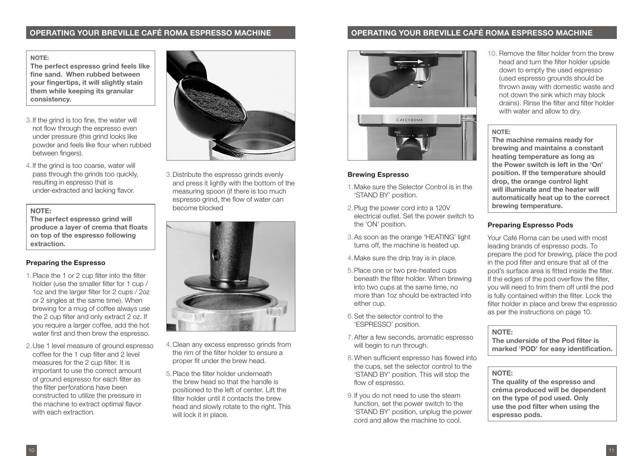#### **OPERATING YOUR BREVILLE CAFÉ ROMA ESPRESSO MACHINE OPERATING YOUR BREVILLE CAFÉ ROMA ESPRESSO MACHINE**

#### **NOTE:**

**The perfect espresso grind feels like fine sand. When rubbed between your fingertips, it will slightly stain them while keeping its granular consistency.**

- 3.If the grind is too fine, the water will not flow through the espresso even under pressure (this grind looks like powder and feels like flour when rubbed between fingers).
- 4.If the grind is too coarse, water will pass through the grinds too quickly, resulting in espresso that is under-extracted and lacking flavor.

#### **NOTE:**

**The perfect espresso grind will produce a layer of crema that floats on top of the espresso following extraction.**

#### **Preparing the Espresso**

- 1.Place the 1 or 2 cup filter into the filter holder (use the smaller filter for 1 cup / 1oz and the larger filter for 2 cups / 2oz or 2 singles at the same time). When brewing for a mug of coffee always use the 2 cup filter and only extract 2 oz. If you require a larger coffee, add the hot water first and then brew the espresso.
- 2.Use 1 level measure of ground espresso coffee for the 1 cup filter and 2 level measures for the 2 cup filter. It is important to use the correct amount of ground espresso for each filter as the filter perforations have been constructed to utilize the pressure in the machine to extract optimal flavor with each extraction.



3.Distribute the espresso grinds evenly and press it lightly with the bottom of the measuring spoon (if there is too much espresso grind, the flow of water can become blocked



- 4.Clean any excess espresso grinds from the rim of the filter holder to ensure a proper fit under the brew head.
- 5.Place the filter holder underneath the brew head so that the handle is positioned to the left of center. Lift the filter holder until it contacts the brew head and slowly rotate to the right. This will lock it in place.



#### **Brewing Espresso**

- 1.Make sure the Selector Control is in the 'STAND BY' position.
- 2.Plug the power cord into a 120V electrical outlet. Set the power switch to the 'ON' position.
- 3.As soon as the orange 'HEATING' light turns off, the machine is heated up.
- 4.Make sure the drip tray is in place.
- 5.Place one or two pre-heated cups beneath the filter holder. When brewing into two cups at the same time, no more than 1oz should be extracted into either cup.
- 6.Set the selector control to the 'ESPRESSO' position.
- 7.After a few seconds, aromatic espresso will begin to run through.
- 8.When sufficient espresso has flowed into the cups, set the selector control to the 'STAND BY' position. This will stop the flow of espresso.
- 9.If you do not need to use the steam function, set the power switch to the 'STAND BY' position, unplug the power cord and allow the machine to cool.

10. Remove the filter holder from the brew head and turn the filter holder upside down to empty the used espresso (used espresso grounds should be thrown away with domestic waste and not down the sink which may block drains). Rinse the filter and filter holder with water and allow to dry.

#### **NOTE:**

**The machine remains ready for brewing and maintains a constant heating temperature as long as the Power switch is left in the 'On' position. If the temperature should drop, the orange control light will illuminate and the heater will automatically heat up to the correct brewing temperature.**

#### **Preparing Espresso Pods**

Your Café Roma can be used with most leading brands of espresso pods. To prepare the pod for brewing, place the pod in the pod filter and ensure that all of the pod's surface area is fitted inside the filter. If the edges of the pod overflow the filter, you will need to trim them off until the pod is fully contained within the filter. Lock the filter holder in place and brew the espresso as per the instructions on page 10.

#### **NOTE:**

**The underside of the Pod filter is marked 'POD' for easy identification.**

#### **NOTE:**

**The quality of the espresso and créma produced will be dependent on the type of pod used. Only use the pod filter when using the espresso pods.**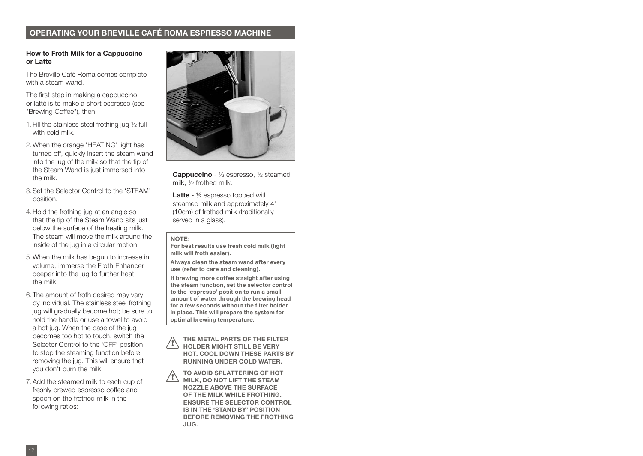#### **OPERATING YOUR BREVILLE CAFÉ ROMA ESPRESSO MACHINE**

#### **How to Froth Milk for a Cappuccino or Latte**

The Breville Café Roma comes complete with a steam wand.

The first step in making a cappuccino or latté is to make a short espresso (see "Brewing Coffee"), then:

- 1.Fill the stainless steel frothing jug ½ full with cold milk.
- 2.When the orange 'HEATING' light has turned off, quickly insert the steam wand into the jug of the milk so that the tip of the Steam Wand is just immersed into the milk.
- 3.Set the Selector Control to the 'STEAM' position.
- 4.Hold the frothing jug at an angle so that the tip of the Steam Wand sits just below the surface of the heating milk. The steam will move the milk around the inside of the jug in a circular motion.
- 5.When the milk has begun to increase in volume, immerse the Froth Enhancer deeper into the jug to further heat the milk.
- 6.The amount of froth desired may vary by individual. The stainless steel frothing jug will gradually become hot; be sure to hold the handle or use a towel to avoid a hot jug. When the base of the jug becomes too hot to touch, switch the Selector Control to the 'OFF' position to stop the steaming function before removing the jug. This will ensure that you don't burn the milk.
- 7.Add the steamed milk to each cup of freshly brewed espresso coffee and spoon on the frothed milk in the following ratios:



**Cappuccino** - ½ espresso, ½ steamed milk, ½ frothed milk.

**Latte** - ½ espresso topped with steamed milk and approximately 4" (10cm) of frothed milk (traditionally served in a glass).

#### **NOTE:**

**For best results use fresh cold milk (light milk will froth easier).**

**Always clean the steam wand after every use (refer to care and cleaning).** 

**If brewing more coffee straight after using the steam function, set the selector control to the 'espresso' position to run a small amount of water through the brewing head for a few seconds without the filter holder in place. This will prepare the system for optimal brewing temperature.**

**THE METAL PARTS OF THE FILTER HOLDER MIGHT STILL BE VERY HOT. COOL DOWN THESE PARTS BY RUNNING UNDER COLD WATER. !**

**TO AVOID SPLATTERING OF HOT MILK, DO NOT LIFT THE STEAM NOZZLE ABOVE THE SURFACE OF THE MILK WHILE FROTHING. ENSURE THE SELECTOR CONTROL IS IN THE 'STAND BY' POSITION BEFORE REMOVING THE FROTHING JUG. !**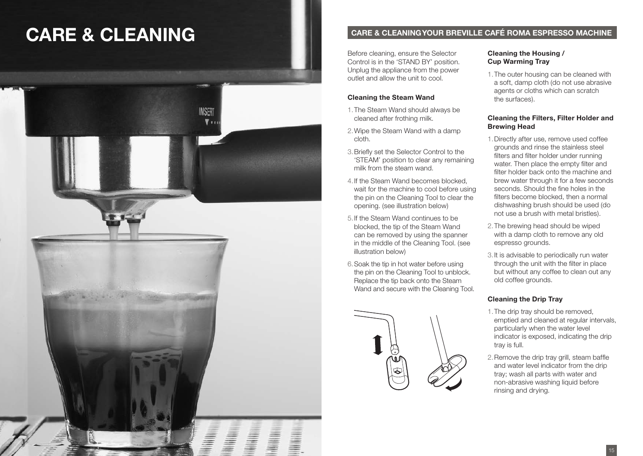## **CARE & CLEANING CARE & CLEANING YOUR BREVILLE CAFÉ ROMA ESPRESSO MACHINE**



Before cleaning, ensure the Selector Control is in the 'STAND BY' position. Unplug the appliance from the power outlet and allow the unit to cool.

#### **Cleaning the Steam Wand**

- 1.The Steam Wand should always be cleaned after frothing milk.
- 2.Wipe the Steam Wand with a damp cloth.
- 3.Briefly set the Selector Control to the 'STEAM' position to clear any remaining milk from the steam wand.
- 4.If the Steam Wand becomes blocked, wait for the machine to cool before using the pin on the Cleaning Tool to clear the opening. (see illustration below)
- 5.If the Steam Wand continues to be blocked, the tip of the Steam Wand can be removed by using the spanner in the middle of the Cleaning Tool. (see illustration below)
- 6.Soak the tip in hot water before using the pin on the Cleaning Tool to unblock. Replace the tip back onto the Steam Wand and secure with the Cleaning Tool.



#### **Cleaning the Housing / Cup Warming Tray**

1.The outer housing can be cleaned with a soft, damp cloth (do not use abrasive agents or cloths which can scratch the surfaces).

#### **Cleaning the Filters, Filter Holder and Brewing Head**

- 1.Directly after use, remove used coffee grounds and rinse the stainless steel filters and filter holder under running water. Then place the empty filter and filter holder back onto the machine and brew water through it for a few seconds seconds. Should the fine holes in the filters become blocked, then a normal dishwashing brush should be used (do not use a brush with metal bristles).
- 2.The brewing head should be wiped with a damp cloth to remove any old espresso grounds.
- 3.It is advisable to periodically run water through the unit with the filter in place but without any coffee to clean out any old coffee grounds.

#### **Cleaning the Drip Tray**

- 1.The drip tray should be removed, emptied and cleaned at regular intervals, particularly when the water level indicator is exposed, indicating the drip tray is full.
- 2.Remove the drip tray grill, steam baffle and water level indicator from the drip tray; wash all parts with water and non-abrasive washing liquid before rinsing and drying.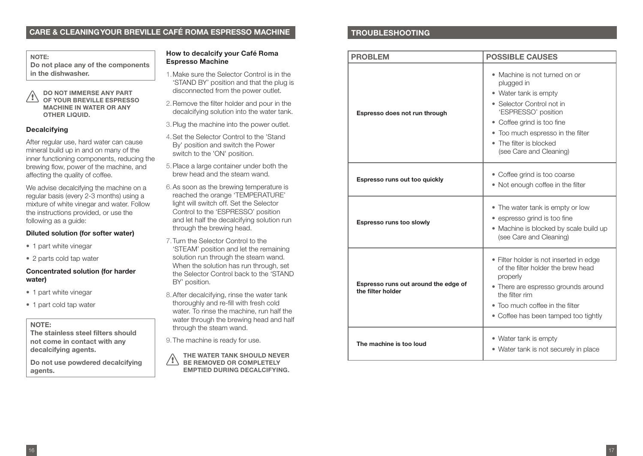#### **CARE & CLEANING YOUR BREVILLE CAFÉ ROMA ESPRESSO MACHINE**

**NOTE: Do not place any of the components in the dishwasher.**

**DO NOT IMMERSE ANY PART OF YOUR BREVILLE ESPRESSO MACHINE IN WATER OR ANY OTHER LIQUID. !**

#### **Decalcifying**

After regular use, hard water can cause mineral build up in and on many of the inner functioning components, reducing the brewing flow, power of the machine, and affecting the quality of coffee.

We advise decalcifying the machine on a regular basis (every 2-3 months) using a mixture of white vinegar and water. Follow the instructions provided, or use the following as a guide:

#### **Diluted solution (for softer water)**

- 1 part white vinegar
- 2 parts cold tap water

#### **Concentrated solution (for harder water)**

- 1 part white vinegar
- 1 part cold tap water

#### **NOTE:**

**The stainless steel filters should not come in contact with any decalcifying agents.** 

**Do not use powdered decalcifying agents.**

#### **How to decalcify your Café Roma Espresso Machine**

- 1.Make sure the Selector Control is in the 'STAND BY' position and that the plug is disconnected from the power outlet.
- 2.Remove the filter holder and pour in the decalcifying solution into the water tank.
- 3.Plug the machine into the power outlet.
- 4.Set the Selector Control to the 'Stand By' position and switch the Power switch to the 'ON' position.
- 5.Place a large container under both the brew head and the steam wand.
- 6.As soon as the brewing temperature is reached the orange 'TEMPERATURE' light will switch off. Set the Selector Control to the 'ESPRESSO' position and let half the decalcifying solution run through the brewing head.
- 7.Turn the Selector Control to the 'STEAM' position and let the remaining solution run through the steam wand. When the solution has run through, set the Selector Control back to the 'STAND BY' position.
- 8.After decalcifying, rinse the water tank thoroughly and re-fill with fresh cold water. To rinse the machine, run half the water through the brewing head and half through the steam wand.

9.The machine is ready for use.

**THE WATER TANK SHOULD NEVER BE REMOVED OR COMPLETELY EMPTIED DURING DECALCIFYING. !**

#### **TROUBLESHOOTING**

| <b>PROBLEM</b>                                            | <b>POSSIBLE CAUSES</b>                                                                                                                                                                                                                            |  |  |
|-----------------------------------------------------------|---------------------------------------------------------------------------------------------------------------------------------------------------------------------------------------------------------------------------------------------------|--|--|
| Espresso does not run through                             | • Machine is not turned on or<br>plugged in<br>• Water tank is empty<br>• Selector Control not in<br>'ESPRESSO' position<br>• Coffee grind is too fine<br>• Too much espresso in the filter<br>• The filter is blocked<br>(see Care and Cleaning) |  |  |
| Espresso runs out too quickly                             | • Coffee grind is too coarse<br>• Not enough coffee in the filter                                                                                                                                                                                 |  |  |
| Espresso runs too slowly                                  | • The water tank is empty or low<br>• espresso grind is too fine<br>• Machine is blocked by scale build up<br>(see Care and Cleaning)                                                                                                             |  |  |
| Espresso runs out around the edge of<br>the filter holder | • Filter holder is not inserted in edge<br>of the filter holder the brew head<br>properly<br>• There are espresso grounds around<br>the filter rim<br>• Too much coffee in the filter<br>• Coffee has been tamped too tightly                     |  |  |
| The machine is too loud                                   | • Water tank is empty<br>• Water tank is not securely in place                                                                                                                                                                                    |  |  |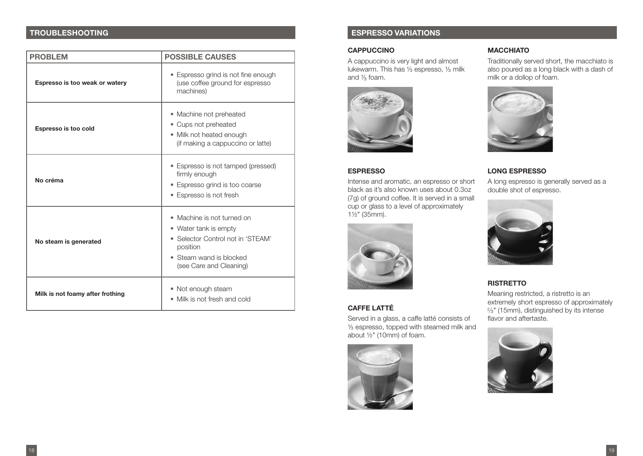| <b>PROBLEM</b>                   | <b>POSSIBLE CAUSES</b>                                                                                                                                              |  |  |  |
|----------------------------------|---------------------------------------------------------------------------------------------------------------------------------------------------------------------|--|--|--|
| Espresso is too weak or watery   | • Espresso grind is not fine enough<br>(use coffee ground for espresso<br>machines)                                                                                 |  |  |  |
| Espresso is too cold             | • Machine not preheated<br>• Cups not preheated<br>• Milk not heated enough<br>(if making a cappuccino or latte)                                                    |  |  |  |
| No créma                         | • Espresso is not tamped (pressed)<br>firmly enough<br>· Espresso grind is too coarse<br>• Espresso is not fresh                                                    |  |  |  |
| No steam is generated            | Machine is not turned on<br>$\bullet$<br>• Water tank is empty<br>Selector Control not in 'STEAM'<br>position<br>• Steam wand is blocked<br>(see Care and Cleaning) |  |  |  |
| Milk is not foamy after frothing | • Not enough steam<br>• Milk is not fresh and cold                                                                                                                  |  |  |  |

### **TROUBLESHOOTING ESPRESSO VARIATIONS**

#### **CAPPUCCINO**

A cappuccino is very light and almost lukewarm. This has 1/3 espresso, 1/3 milk and ½ foam. ³



#### **ESPRESSO**

Intense and aromatic, an espresso or short black as it's also known uses about 0.3oz (7g) of ground coffee. It is served in a small cup or glass to a level of approximately 1½" (35mm).



#### **CAFFE LATTÉ**

Served in a glass, a caffe latté consists of ½ espresso, topped with steamed milk and ³ about ½" (10mm) of foam.



#### **MACCHIATO**

Traditionally served short, the macchiato is also poured as a long black with a dash of milk or a dollop of foam.



#### **LONG ESPRESSO**

A long espresso is generally served as a double shot of espresso.



#### **RISTRETTO**

Meaning restricted, a ristretto is an extremely short espresso of approximately ½" (15mm), distinguished by its intense 2 ³ flavor and aftertaste.

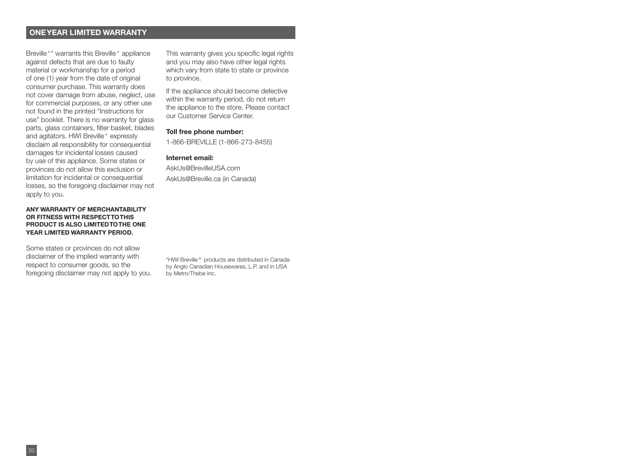#### **ONE YEAR LIMITED WARRANTY**

Breville<sup>®\*</sup> warrants this Breville<sup>®</sup> appliance against defects that are due to faulty material or workmanship for a period of one (1) year from the date of original consumer purchase. This warranty does not cover damage from abuse, neglect, use for commercial purposes, or any other use not found in the printed "Instructions for use" booklet. There is no warranty for glass parts, glass containers, filter basket, blades and agitators. HWI Breville<sup>®</sup> expressly disclaim all responsibility for consequential damages for incidental losses caused by use of this appliance. Some states or provinces do not allow this exclusion or limitation for incidental or consequential losses, so the foregoing disclaimer may not apply to you.

#### **ANY WARRANTY OF MERCHANTABILITY OR FITNESS WITH RESPECT TO THIS PRODUCT IS ALSO LIMITED TO THE ONE YEAR LIMITED WARRANTY PERIOD.**

Some states or provinces do not allow disclaimer of the implied warranty with respect to consumer goods, so the foregoing disclaimer may not apply to you.

This warranty gives you specific legal rights and you may also have other legal rights which vary from state to state or province to province.

If the appliance should become defective within the warranty period, do not return the appliance to the store. Please contact our Customer Service Center.

#### **Toll free phone number:**

1-866-BREVILLE (1-866-273-8455)

#### **Internet email:**

AskUs@BrevilleUSA.com AskUs@Breville.ca (in Canada)

\*HWI Breville® products are distributed in Canada by Anglo Canadian Housewares, L.P. and in USA by Metro/Thebe Inc.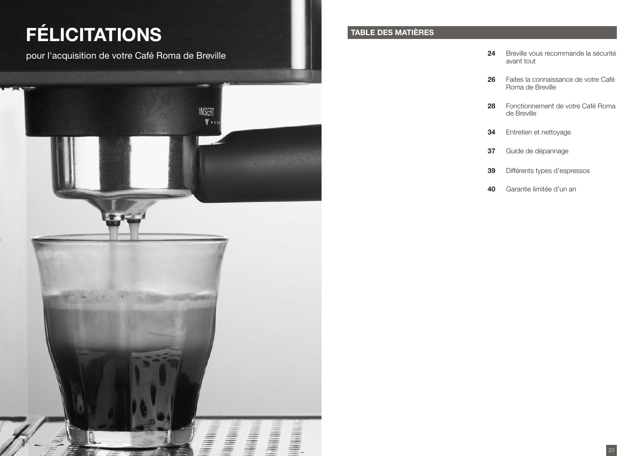## **FÉLICITATIONS**

pour l'acquisition de votre Café Roma de Breville **24 avrille 1996** de la sécurité de la sécurité de la sécurité



### **TABLE DES MATIÈRES**

- avant tout
- **26** Faites la connaissance de votre Café Roma de Breville
- **28** Fonctionnement de votre Café Roma de Breville
- **34** Entretien et nettoyage
- **37** Guide de dépannage
- **39** Différents types d'espressos
- **40** Garantie limitée d'un an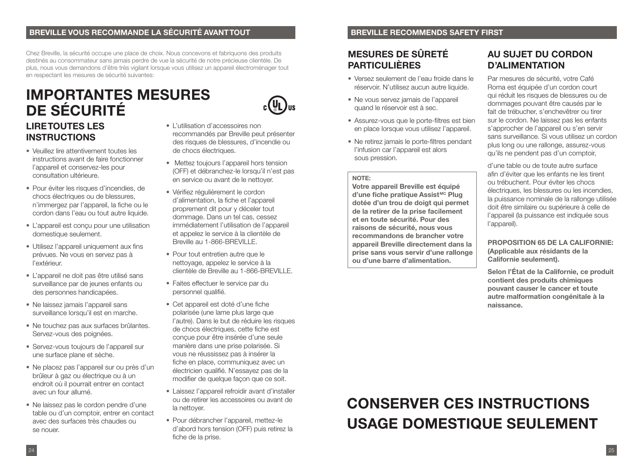#### **BREVILLE VOUS RECOMMANDE LA SÉCURITÉ AVANT TOUT BREVILLE RECOMMENDS SAFETY FIRST**

Chez Breville, la sécurité occupe une place de choix. Nous concevons et fabriquons des produits destinés au consommateur sans jamais perdre de vue la sécurité de notre précieuse clientèle. De plus, nous vous demandons d'être très vigilant lorsque vous utilisez un appareil électroménager tout en respectant les mesures de sécurité suivantes:

### **LIRE TOUTES LES INSTRUCTIONS IMPORTANTES MESURES DE SÉCURITÉ**

- Veuillez lire attentivement toutes les instructions avant de faire fonctionner l'appareil et conservez-les pour consultation ultérieure.
- Pour éviter les risques d'incendies, de chocs électriques ou de blessures, n'immergez par l'appareil, la fiche ou le cordon dans l'eau ou tout autre liquide.
- L'appareil est conçu pour une utilisation domestique seulement.
- Utilisez l'appareil uniquement aux fins prévues. Ne vous en servez pas à l'extérieur.
- L'appareil ne doit pas être utilisé sans surveillance par de jeunes enfants ou des personnes handicapées.
- Ne laissez jamais l'appareil sans surveillance lorsqu'il est en marche.
- Ne touchez pas aux surfaces brûlantes. Servez-vous des poignées.
- Servez-vous toujours de l'appareil sur une surface plane et sèche.
- Ne placez pas l'appareil sur ou près d'un brûleur à gaz ou électrique ou à un endroit où il pourrait entrer en contact avec un four allumé.
- Ne laissez pas le cordon pendre d'une table ou d'un comptoir, entrer en contact avec des surfaces très chaudes ou se nouer.
- L'utilisation d'accessoires non recommandés par Breville peut présenter des risques de blessures, d'incendie ou de chocs électriques.
- Mettez toujours l'appareil hors tension (OFF) et débranchez-le lorsqu'il n'est pas en service ou avant de le nettoyer.
- Vérifiez régulièrement le cordon d'alimentation, la fiche et l'appareil proprement dit pour y déceler tout dommage. Dans un tel cas, cessez immédiatement l'utilisation de l'appareil et appelez le service à la clientèle de Breville au 1-866-BREVILLE.
- Pour tout entretien autre que le nettoyage, appelez le service à la clientèle de Breville au 1-866-BREVILLE.
- Faites effectuer le service par du personnel qualifié.
- Cet appareil est doté d'une fiche polarisée (une lame plus large que l'autre). Dans le but de réduire les risques de chocs électriques, cette fiche est conçue pour être insérée d'une seule manière dans une prise polarisée. Si vous ne réussissez pas à insérer la fiche en place, communiquez avec un électricien qualifié. N'essayez pas de la modifier de quelque façon que ce soit.
- Laissez l'appareil refroidir avant d'installer ou de retirer les accessoires ou avant de la nettoyer.
- Pour débrancher l'appareil, mettez-le d'abord hors tension (OFF) puis retirez la fiche de la prise.

### **MESURES DE SÛRETÉ PARTICULIÈRES**

- Versez seulement de l'eau froide dans le réservoir. N'utilisez aucun autre liquide.
- Ne vous servez jamais de l'appareil quand le réservoir est à sec.
- Assurez-vous que le porte-filtres est bien en place lorsque vous utilisez l'appareil.
- Ne retirez jamais le porte-filtres pendant l'infusion car l'appareil est alors sous pression.

#### **NOTE:**

**Votre appareil Breville est équipé d'une fiche pratique Assist MC Plug dotée d'un trou de doigt qui permet de la retirer de la prise facilement et en toute sécurité. Pour des raisons de sécurité, nous vous recommandons de brancher votre appareil Breville directement dans la prise sans vous servir d'une rallonge ou d'une barre d'alimentation.**

### **AU SUJET DU CORDON D'ALIMENTATION**

Par mesures de sécurité, votre Café Roma est équipée d'un cordon court qui réduit les risques de blessures ou de dommages pouvant être causés par le fait de trébucher, s'enchevêtrer ou tirer sur le cordon. Ne laissez pas les enfants s'approcher de l'appareil ou s'en servir sans surveillance. Si vous utilisez un cordon plus long ou une rallonge, assurez-vous qu'ils ne pendent pas d'un comptoir,

d'une table ou de toute autre surface afin d'éviter que les enfants ne les tirent ou trébuchent. Pour éviter les chocs électriques, les blessures ou les incendies, la puissance nominale de la rallonge utilisée doit être similaire ou supérieure à celle de l'appareil (la puissance est indiquée sous l'appareil).

#### **PROPOSITION 65 DE LA CALIFORNIE: (Applicable aux résidants de la Californie seulement).**

**Selon l'État de la Californie, ce produit contient des produits chimiques pouvant causer le cancer et toute autre malformation congénitale à la naissance.**

### **CONSERVER CES INSTRUCTIONS USAGE DOMESTIQUE SEULEMENT**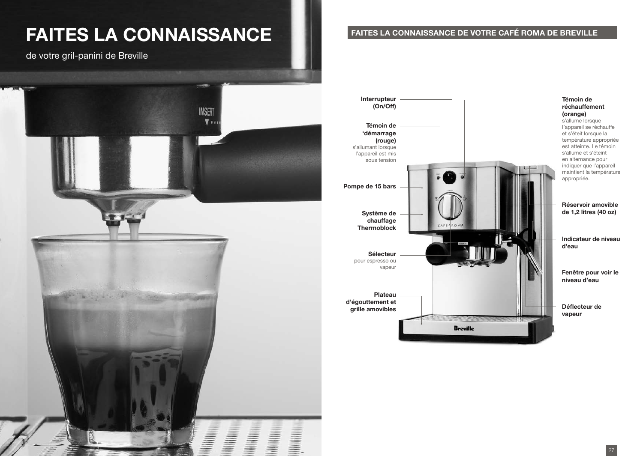## **FAITES LA CONNAISSANCE**

de votre gril-panini de Breville



#### **FAITES LA CONNAISSANCE DE VOTRE CAFÉ ROMA DE BREVILLE**

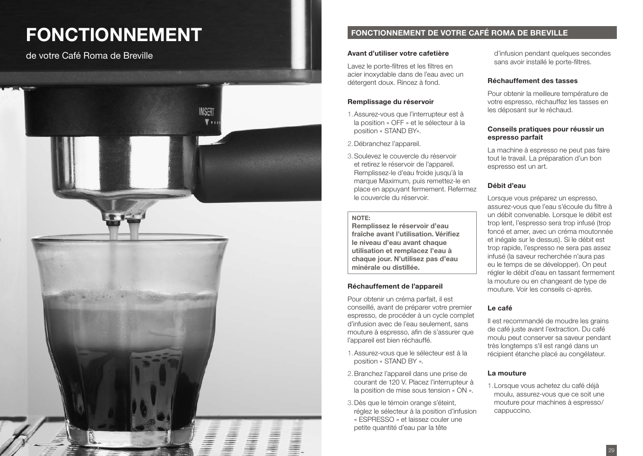## **FONCTIONNEMENT**

de votre Café Roma de Breville



### **FONCTIONNEMENT DE VOTRE CAFÉ ROMA DE BREVILLE**

#### **Avant d'utiliser votre cafetière**

Lavez le porte-filtres et les filtres en acier inoxydable dans de l'eau avec un détergent doux. Rincez à fond.

#### **Remplissage du réservoir**

- 1.Assurez-vous que l'interrupteur est à la position « OFF » et le sélecteur à la position « STAND BY».
- 2.Débranchez l'appareil.
- 3.Soulevez le couvercle du réservoir et retirez le réservoir de l'appareil. Remplissez-le d'eau froide jusqu'à la marque Maximum, puis remettez-le en place en appuyant fermement. Refermez le couvercle du réservoir.

#### **NOTE:**

**Remplissez le réservoir d'eau fraîche avant l'utilisation. Vérifiez le niveau d'eau avant chaque utilisation et remplacez l'eau à chaque jour. N'utilisez pas d'eau minérale ou distillée.**

#### **Réchauffement de l'appareil**

Pour obtenir un créma parfait, il est conseillé, avant de préparer votre premier espresso, de procéder à un cycle complet d'infusion avec de l'eau seulement, sans mouture à espresso, afin de s'assurer que l'appareil est bien réchauffé.

- 1.Assurez-vous que le sélecteur est à la position « STAND BY ».
- 2.Branchez l'appareil dans une prise de courant de 120 V. Placez l'interrupteur à la position de mise sous tension « ON ».
- 3.Dès que le témoin orange s'éteint, réglez le sélecteur à la position d'infusion « ESPRESSO » et laissez couler une petite quantité d'eau par la tête

d'infusion pendant quelques secondes sans avoir installé le porte-filtres.

#### **Réchauffement des tasses**

Pour obtenir la meilleure température de votre espresso, réchauffez les tasses en les déposant sur le réchaud.

#### **Conseils pratiques pour réussir un espresso parfait**

La machine à espresso ne peut pas faire tout le travail. La préparation d'un bon espresso est un art.

#### **Débit d'eau**

Lorsque vous préparez un espresso, assurez-vous que l'eau s'écoule du filtre à un débit convenable. Lorsque le débit est trop lent, l'espresso sera trop infusé (trop foncé et amer, avec un créma moutonnée et inégale sur le dessus). Si le débit est trop rapide, l'espresso ne sera pas assez infusé (la saveur recherchée n'aura pas eu le temps de se développer). On peut régler le débit d'eau en tassant fermement la mouture ou en changeant de type de mouture. Voir les conseils ci-après.

#### **Le café**

Il est recommandé de moudre les grains de café juste avant l'extraction. Du café moulu peut conserver sa saveur pendant très longtemps s'il est rangé dans un récipient étanche placé au congélateur.

#### **La mouture**

1.Lorsque vous achetez du café déjà moulu, assurez-vous que ce soit une mouture pour machines à espresso/ cappuccino.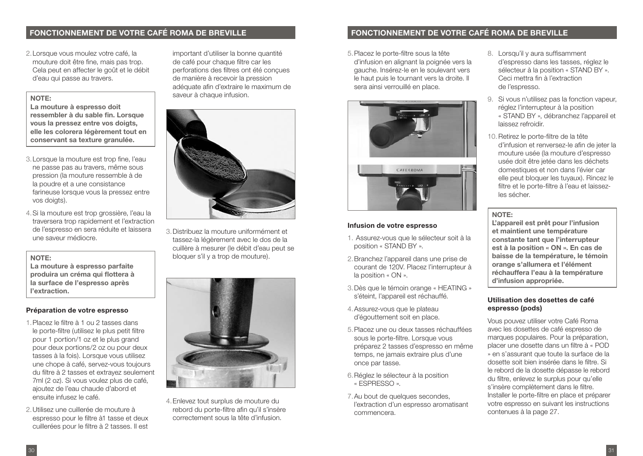#### **FONCTIONNEMENT DE VOTRE CAFÉ ROMA DE BREVILLE FONCTIONNEMENT DE VOTRE CAFÉ ROMA DE BREVILLE**

2.Lorsque vous moulez votre café, la mouture doit être fine, mais pas trop. Cela peut en affecter le goût et le débit d'eau qui passe au travers.

#### **NOTE:**

**La mouture à espresso doit ressembler à du sable fin. Lorsque vous la pressez entre vos doigts, elle les colorera légèrement tout en conservant sa texture granulée.**

- 3.Lorsque la mouture est trop fine, l'eau ne passe pas au travers, même sous pression (la mouture ressemble à de la poudre et a une consistance farineuse lorsque vous la pressez entre vos doigts).
- 4.Si la mouture est trop grossière, l'eau la traversera trop rapidement et l'extraction de l'espresso en sera réduite et laissera une saveur médiocre.

#### **NOTE:**

**La mouture à espresso parfaite produira un créma qui flottera à la surface de l'espresso après l'extraction.**

#### **Préparation de votre espresso**

- 1.Placez le filtre à 1 ou 2 tasses dans le porte-filtre (utilisez le plus petit filtre pour 1 portion/1 oz et le plus grand pour deux portions/2 oz ou pour deux tasses à la fois). Lorsque vous utilisez une chope à café, servez-vous toujours du filtre à 2 tasses et extrayez seulement 7ml (2 oz). Si vous voulez plus de café, ajoutez de l'eau chaude d'abord et ensuite infusez le café.
- 2.Utilisez une cuillerée de mouture à espresso pour le filtre à1 tasse et deux cuillerées pour le filtre à 2 tasses. Il est

important d'utiliser la bonne quantité de café pour chaque filtre car les perforations des filtres ont été conçues de manière à recevoir la pression adéquate afin d'extraire le maximum de saveur à chaque infusion.



3.Distribuez la mouture uniformément et tassez-la légèrement avec le dos de la cuillère à mesurer (le débit d'eau peut se bloquer s'il y a trop de mouture).



4.Enlevez tout surplus de mouture du rebord du porte-filtre afin qu'il s'insère correctement sous la tête d'infusion.

5.Placez le porte-filtre sous la tête d'infusion en alignant la poignée vers la gauche. Insérez-le en le soulevant vers le haut puis le tournant vers la droite. Il sera ainsi verrouillé en place.



#### **Infusion de votre espresso**

- 1. Assurez-vous que le sélecteur soit à la position « STAND BY ».
- 2.Branchez l'appareil dans une prise de courant de 120V. Placez l'interrupteur à la position « ON ».
- 3.Dès que le témoin orange « HEATING » s'éteint, l'appareil est réchauffé.
- 4.Assurez-vous que le plateau d'égouttement soit en place.
- 5.Placez une ou deux tasses réchauffées sous le porte-filtre. Lorsque vous préparez 2 tasses d'espresso en même temps, ne jamais extraire plus d'une once par tasse.
- 6.Réglez le sélecteur à la position « ESPRESSO ».
- 7.Au bout de quelques secondes, l'extraction d'un espresso aromatisant commencera.
- 8. Lorsqu'il y aura suffisamment d'espresso dans les tasses, réglez le sélecteur à la position « STAND BY ». Ceci mettra fin à l'extraction de l'espresso.
- 9. Si vous n'utilisez pas la fonction vapeur, réglez l'interrupteur à la position « STAND BY », débranchez l'appareil et laissez refroidir.
- 10.Retirez le porte-filtre de la tête d'infusion et renversez-le afin de jeter la mouture usée (la mouture d'espresso usée doit être jetée dans les déchets domestiques et non dans l'évier car elle peut bloquer les tuyaux). Rincez le filtre et le porte-filtre à l'eau et laissezles sécher.

#### **NOTE:**

**L'appareil est prêt pour l'infusion et maintient une température constante tant que l'interrupteur est à la position « ON ». En cas de baisse de la température, le témoin orange s'allumera et l'élément réchauffera l'eau à la température d'infusion appropriée.**

#### **Utilisation des dosettes de café espresso (pods)**

Vous pouvez utiliser votre Café Roma avec les dosettes de café espresso de marques populaires. Pour la préparation, placer une dosette dans un filtre à « POD » en s'assurant que toute la surface de la dosette soit bien insérée dans le filtre. Si le rebord de la dosette dépasse le rebord du filtre, enlevez le surplus pour qu'elle s'insère complètement dans le filtre. Installer le porte-filtre en place et préparer votre espresso en suivant les instructions contenues à la page 27.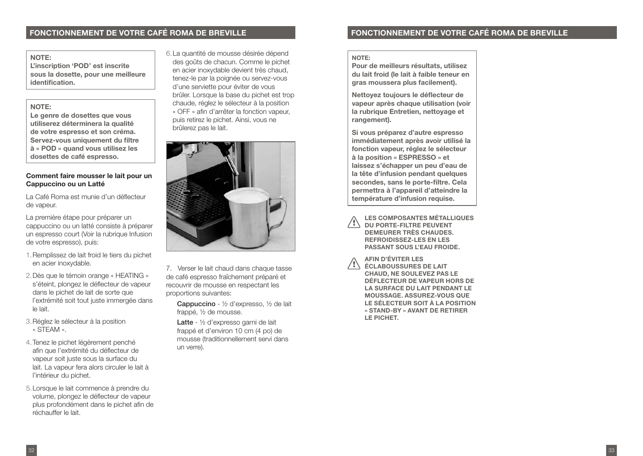#### **FONCTIONNEMENT DE VOTRE CAFÉ ROMA DE BREVILLE FONCTIONNEMENT DE VOTRE CAFÉ ROMA DE BREVILLE**

#### **NOTE:**

**L'inscription 'POD' est inscrite sous la dosette, pour une meilleure identification.**

#### **NOTE:**

**Le genre de dosettes que vous utiliserez déterminera la qualité de votre espresso et son créma. Servez-vous uniquement du filtre à « POD » quand vous utilisez les dosettes de café espresso.**

#### **Comment faire mousser le lait pour un Cappuccino ou un Latté**

La Café Roma est munie d'un déflecteur de vapeur.

La première étape pour préparer un cappuccino ou un latté consiste à préparer un espresso court (Voir la rubrique Infusion de votre espresso), puis:

- 1.Remplissez de lait froid le tiers du pichet en acier inoxydable.
- 2.Dès que le témoin orange « HEATING » s'éteint, plongez le déflecteur de vapeur dans le pichet de lait de sorte que l'extrémité soit tout juste immergée dans le lait.
- 3.Réglez le sélecteur à la position « STEAM ».
- 4.Tenez le pichet légèrement penché afin que l'extrémité du déflecteur de vapeur soit juste sous la surface du lait. La vapeur fera alors circuler le lait à l'intérieur du pichet.
- 5.Lorsque le lait commence à prendre du volume, plongez le déflecteur de vapeur plus profondément dans le pichet afin de réchauffer le lait.

6.La quantité de mousse désirée dépend des goûts de chacun. Comme le pichet en acier inoxydable devient très chaud, tenez-le par la poignée ou servez-vous d'une serviette pour éviter de vous brûler. Lorsque la base du pichet est trop chaude, réglez le sélecteur à la position « OFF » afin d'arrêter la fonction vapeur, puis retirez le pichet. Ainsi, vous ne brûlerez pas le lait.



7. Verser le lait chaud dans chaque tasse de café espresso fraîchement préparé et recouvrir de mousse en respectant les proportions suivantes:

Cappuccino - ½ d'expresso, ½ de lait frappé, ½ de mousse.

Latte - ½ d'expresso garni de lait frappé et d'environ 10 cm (4 po) de mousse (traditionnellement servi dans un verre).

#### **NOTE:**

**Pour de meilleurs résultats, utilisez du lait froid (le lait à faible teneur en gras moussera plus facilement).** 

**Nettoyez toujours le déflecteur de vapeur après chaque utilisation (voir la rubrique Entretien, nettoyage et rangement).** 

**Si vous préparez d'autre espresso immédiatement après avoir utilisé la fonction vapeur, réglez le sélecteur à la position « ESPRESSO » et laissez s'échapper un peu d'eau de la tête d'infusion pendant quelques secondes, sans le porte-filtre. Cela permettra à l'appareil d'atteindre la température d'infusion requise.**

**LES COMPOSANTES MÉTALLIQUES DU PORTE-FILTRE PEUVENT DEMEURER TRÈS CHAUDES. REFROIDISSEZ-LES EN LES PASSANT SOUS L'EAU FROIDE. !**

**AFIN D'ÉVITER LES ÉCLABOUSSURES DE LAIT CHAUD, NE SOULEVEZ PAS LE DÉFLECTEUR DE VAPEUR HORS DE LA SURFACE DU LAIT PENDANT LE MOUSSAGE. ASSUREZ-VOUS QUE LE SÉLECTEUR SOIT À LA POSITION « STAND-BY » AVANT DE RETIRER LE PICHET. !**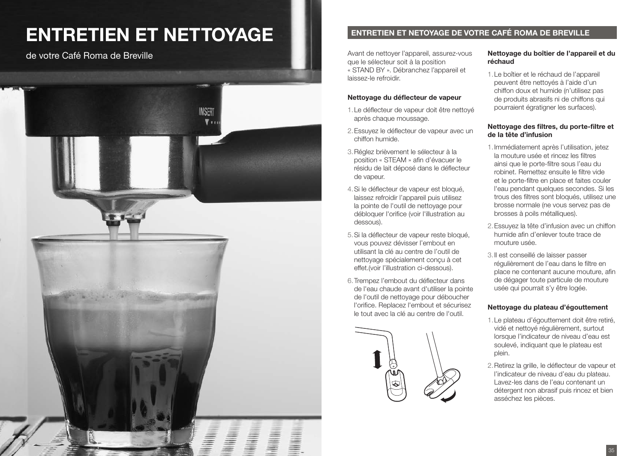## ENTRETIEN ET NETTOYAGE



Avant de nettoyer l'appareil, assurez-vous que le sélecteur soit à la position « STAND BY ». Débranchez l'appareil et laissez-le refroidir. de votre Café Roma de Breville **Nettonia de Exercica Caracteria de Avant de nettoyer l'appareil, assurez-vous** Nettoyage du boîtier de l'appareil et du

#### **Nettoyage du déflecteur de vapeur**

- 1.Le déflecteur de vapeur doit être nettoyé après chaque moussage.
- 2.Essuyez le déflecteur de vapeur avec un chiffon humide.
- 3.Réglez brièvement le sélecteur à la position « STEAM » afin d'évacuer le résidu de lait déposé dans le déflecteur de vapeur.
- 4.Si le déflecteur de vapeur est bloqué, laissez refroidir l'appareil puis utilisez la pointe de l'outil de nettoyage pour débloquer l'orifice (voir l'illustration au dessous).
- 5.Si la déflecteur de vapeur reste bloqué, vous pouvez dévisser l'embout en utilisant la clé au centre de l'outil de nettoyage spécialement conçu à cet effet.(voir l'illustration ci-dessous).
- 6.Trempez l'embout du déflecteur dans de l'eau chaude avant d'utiliser la pointe de l'outil de nettoyage pour déboucher l'orifice. Replacez l'embout et sécurisez le tout avec la clé au centre de l'outil.

![](_page_17_Picture_12.jpeg)

### **réchaud**

1.Le boîtier et le réchaud de l'appareil peuvent être nettoyés à l'aide d'un chiffon doux et humide (n'utilisez pas de produits abrasifs ni de chiffons qui pourraient égratigner les surfaces).

#### **Nettoyage des filtres, du porte-filtre et de la tête d'infusion**

- 1.Immédiatement après l'utilisation, jetez la mouture usée et rincez les filtres ainsi que le porte-filtre sous l'eau du robinet. Remettez ensuite le filtre vide et le porte-filtre en place et faites couler l'eau pendant quelques secondes. Si les trous des filtres sont bloqués, utilisez une brosse normale (ne vous servez pas de brosses à poils métalliques).
- 2.Essuyez la tête d'infusion avec un chiffon humide afin d'enlever toute trace de mouture usée.
- 3.Il est conseillé de laisser passer régulièrement de l'eau dans le filtre en place ne contenant aucune mouture, afin de dégager toute particule de mouture usée qui pourrait s'y être logée.

#### **Nettoyage du plateau d'égouttement**

- 1.Le plateau d'égouttement doit être retiré, vidé et nettoyé régulièrement, surtout lorsque l'indicateur de niveau d'eau est soulevé, indiquant que le plateau est plein.
- 2.Retirez la grille, le déflecteur de vapeur et l'indicateur de niveau d'eau du plateau. Lavez-les dans de l'eau contenant un détergent non abrasif puis rincez et bien asséchez les pièces.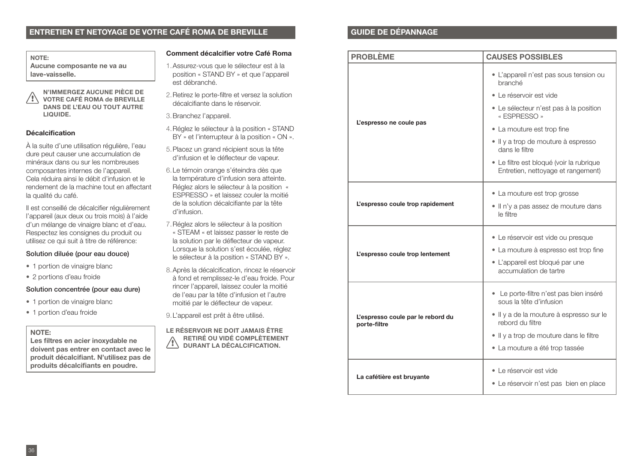#### **ENTRETIEN ET NETOYAGE DE VOTRE CAFÉ ROMA DE BREVILLE CARACTER DE DÉPANNAGE**

**NOTE: Aucune composante ne va au lave-vaisselle.**

**N'IMMERGEZ AUCUNE PIÈCE DE VOTRE CAFÉ ROMA de BREVILLE DANS DE L'EAU OU TOUT AUTRE LIQUIDE. !**

#### **Décalcification**

À la suite d'une utilisation régulière, l'eau dure peut causer une accumulation de minéraux dans ou sur les nombreuses composantes internes de l'appareil. Cela réduira ainsi le débit d'infusion et le rendement de la machine tout en affectant la qualité du café.

Il est conseillé de décalcifier régulièrement l'appareil (aux deux ou trois mois) à l'aide d'un mélange de vinaigre blanc et d'eau. Respectez les consignes du produit ou utilisez ce qui suit à titre de référence:

#### Solution diluée (pour eau douce)

- 1 portion de vinaigre blanc
- 2 portions d'eau froide

#### Solution concentrée (pour eau dure)

- 1 portion de vinaigre blanc
- 1 portion d'eau froide

#### **NOTE:**

**Les filtres en acier inoxydable ne doivent pas entrer en contact avec le produit décalcifiant. N'utilisez pas de produits décalcifiants en poudre.**

#### **Comment décalcifier votre Café Roma**

- 1.Assurez-vous que le sélecteur est à la position « STAND BY » et que l'appareil est débranché.
- 2.Retirez le porte-filtre et versez la solution décalcifiante dans le réservoir.

3.Branchez l'appareil.

- 4.Réglez le sélecteur à la position « STAND BY » et l'interrupteur à la position « ON ».
- 5.Placez un grand récipient sous la tête d'infusion et le déflecteur de vapeur.
- 6.Le témoin orange s'éteindra dès que la température d'infusion sera atteinte. Réglez alors le sélecteur à la position « ESPRESSO » et laissez couler la moitié de la solution décalcifiante par la tête d'infusion.
- 7.Réglez alors le sélecteur à la position « STEAM « et laissez passer le reste de la solution par le déflecteur de vapeur. Lorsque la solution s'est écoulée, réglez le sélecteur à la position « STAND BY ».
- 8.Après la décalcification, rincez le réservoir à fond et remplissez-le d'eau froide. Pour rincer l'appareil, laissez couler la moitié de l'eau par la tête d'infusion et l'autre moitié par le déflecteur de vapeur.
- 9.L'appareil est prêt à être utilisé.

**LE RÉSERVOIR NE DOIT JAMAIS ÊTRE RETIRÉ OU VIDÉ COMPLÈTEMENT DURANT LA DÉCALCIFICATION. !**

| <b>PROBLÈME</b>                                   | <b>CAUSES POSSIBLES</b>                                                                            |  |  |
|---------------------------------------------------|----------------------------------------------------------------------------------------------------|--|--|
|                                                   | · L'appareil n'est pas sous tension ou<br>branché<br>· Le réservoir est vide                       |  |  |
| L'espresso ne coule pas                           | • Le sélecteur n'est pas à la position<br>« ESPRESSO »                                             |  |  |
|                                                   | • La mouture est trop fine                                                                         |  |  |
|                                                   | · Il y a trop de mouture à espresso<br>dans le filtre                                              |  |  |
|                                                   | · Le filtre est bloqué (voir la rubrique<br>Entretien, nettoyage et rangement)                     |  |  |
| L'espresso coule trop rapidement                  | • La mouture est trop grosse                                                                       |  |  |
|                                                   | . Il n'y a pas assez de mouture dans<br>le filtre                                                  |  |  |
| L'espresso coule trop lentement                   | · Le réservoir est vide ou presque                                                                 |  |  |
|                                                   | • La mouture à espresso est trop fine<br>· L'appareil est bloqué par une<br>accumulation de tartre |  |  |
| L'espresso coule par le rebord du<br>porte-filtre | · Le porte-filtre n'est pas bien inséré<br>sous la tête d'infusion                                 |  |  |
|                                                   | · Il y a de la mouture à espresso sur le<br>rebord du filtre                                       |  |  |
|                                                   | . Il y a trop de mouture dans le filtre                                                            |  |  |
|                                                   | • La mouture a été trop tassée                                                                     |  |  |
| La cafétière est bruyante                         | • Le réservoir est vide                                                                            |  |  |
|                                                   | • Le réservoir n'est pas bien en place                                                             |  |  |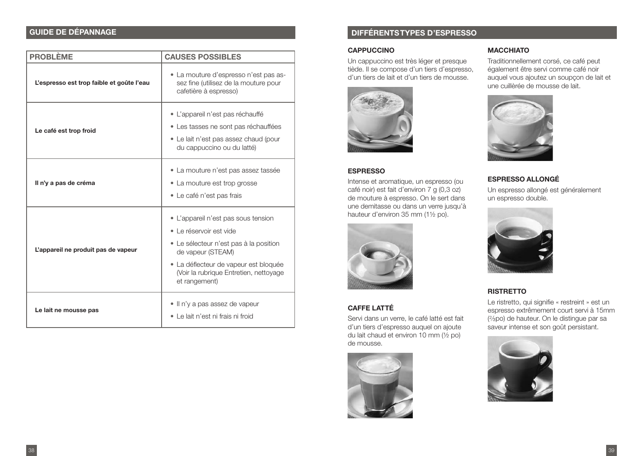#### **GUIDE DE DÉPANNAGE**

| <b>PROBLÈME</b>                           | <b>CAUSES POSSIBLES</b>                                                                                                                                                                                                           |  |  |  |
|-------------------------------------------|-----------------------------------------------------------------------------------------------------------------------------------------------------------------------------------------------------------------------------------|--|--|--|
| L'espresso est trop faible et goûte l'eau | • La mouture d'espresso n'est pas as-<br>sez fine (utilisez de la mouture pour<br>cafetière à espresso)                                                                                                                           |  |  |  |
| Le café est trop froid                    | • L'appareil n'est pas réchauffé<br>• Les tasses ne sont pas réchauffées<br>• Le lait n'est pas assez chaud (pour<br>du cappuccino ou du latté)                                                                                   |  |  |  |
| Il n'y a pas de créma                     | • La mouture n'est pas assez tassée<br>• La mouture est trop grosse<br>• Le café n'est pas frais                                                                                                                                  |  |  |  |
| L'appareil ne produit pas de vapeur       | • L'appareil n'est pas sous tension<br>• Le réservoir est vide<br>· Le sélecteur n'est pas à la position<br>de vapeur (STEAM)<br>· La déflecteur de vapeur est bloquée<br>(Voir la rubrique Entretien, nettoyage<br>et rangement) |  |  |  |
| Le lait ne mousse pas                     | • Il n'y a pas assez de vapeur<br>• Le lait n'est ni frais ni froid                                                                                                                                                               |  |  |  |

#### **DIFFÉRENTS TYPES D'ESPRESSO**

#### **CAPPUCCINO**

Un cappuccino est très léger et presque tiède. Il se compose d'un tiers d'espresso, d'un tiers de lait et d'un tiers de mousse.

![](_page_19_Picture_5.jpeg)

#### **ESPRESSO**

Intense et aromatique, un espresso (ou café noir) est fait d'environ 7 g (0,3 oz) de mouture à espresso. On le sert dans une demitasse ou dans un verre jusqu'à hauteur d'environ 35 mm (1½ po).

![](_page_19_Picture_8.jpeg)

#### **CAFFE LATTÉ**

Servi dans un verre, le café latté est fait d'un tiers d'espresso auquel on ajoute du lait chaud et environ 10 mm  $(\frac{1}{2}$  po) de mousse.

![](_page_19_Picture_11.jpeg)

#### **MACCHIATO**

Traditionnellement corsé, ce café peut également être servi comme café noir auquel vous ajoutez un soupçon de lait et une cuillèrée de mousse de lait.

![](_page_19_Picture_14.jpeg)

#### **ESPRESSO ALLONGÉ**

Un espresso allongé est généralement un espresso double.

![](_page_19_Picture_17.jpeg)

#### **RISTRETTO**

Le ristretto, qui signifie « restreint » est un espresso extrêmement court servi à 15mm (%po) de hauteur. On le distingue par sa saveur intense et son goût persistant.

![](_page_19_Picture_20.jpeg)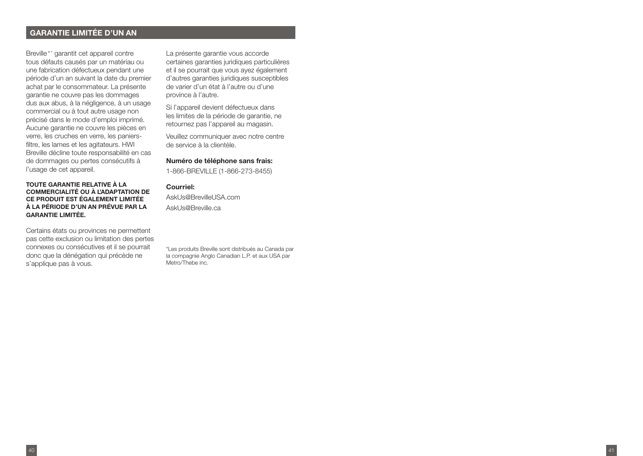#### **GARANTIE LIMITÉE D'UN AN**

Breville®\* garantit cet appareil contre tous défauts causés par un matériau ou une fabrication défectueux pendant une période d'un an suivant la date du premier achat par le consommateur. La présente garantie ne couvre pas les dommages dus aux abus, à la négligence, à un usage commercial ou à tout autre usage non précisé dans le mode d'emploi imprimé. Aucune garantie ne couvre les pièces en verre, les cruches en verre, les paniersfiltre, les lames et les agitateurs. HWI Breville décline toute responsabilité en cas de dommages ou pertes consécutifs à l'usage de cet appareil.

#### **TOUTE GARANTIE RELATIVE À LA COMMERCIALITÉ OU À L'ADAPTATION DE CE PRODUIT EST ÉGALEMENT LIMITÉE À LA PÉRIODE D'UN AN PRÉVUE PAR LA GARANTIE LIMITÉE.**

Certains états ou provinces ne permettent pas cette exclusion ou limitation des pertes connexes ou consécutives et il se pourrait donc que la dénégation qui précède ne s'applique pas à vous.

La présente garantie vous accorde certaines garanties juridiques particulières et il se pourrait que vous ayez également d'autres garanties juridiques susceptibles de varier d'un état à l'autre ou d'une province à l'autre.

Si l'appareil devient défectueux dans les limites de la période de garantie, ne retournez pas l'appareil au magasin.

Veuillez communiquer avec notre centre de service à la clientèle.

#### **Numéro de téléphone sans frais:**

1-866-BREVILLE (1-866-273-8455)

#### **Courriel:**

AskLIs@BrevilleLISA.com AskUs@Breville.ca

\*Les produits Breville sont distribués au Canada par la compagnie Anglo Canadian L.P. et aux USA par Metro/Thebe inc.